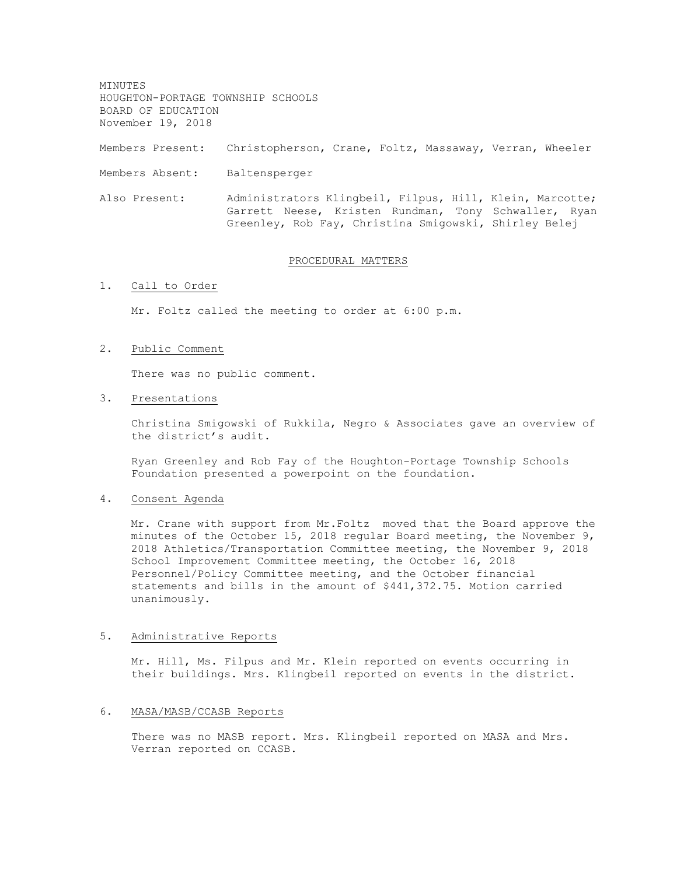MINUTES HOUGHTON-PORTAGE TOWNSHIP SCHOOLS BOARD OF EDUCATION November 19, 2018

Members Present: Christopherson, Crane, Foltz, Massaway, Verran, Wheeler

Members Absent: Baltensperger

Also Present: Administrators Klingbeil, Filpus, Hill, Klein, Marcotte; Garrett Neese, Kristen Rundman, Tony Schwaller, Ryan Greenley, Rob Fay, Christina Smigowski, Shirley Belej

### PROCEDURAL MATTERS

#### 1. Call to Order

Mr. Foltz called the meeting to order at 6:00 p.m.

### 2. Public Comment

There was no public comment.

#### 3. Presentations

Christina Smigowski of Rukkila, Negro & Associates gave an overview of the district's audit.

Ryan Greenley and Rob Fay of the Houghton-Portage Township Schools Foundation presented a powerpoint on the foundation.

# 4. Consent Agenda

Mr. Crane with support from Mr.Foltz moved that the Board approve the minutes of the October 15, 2018 regular Board meeting, the November 9, 2018 Athletics/Transportation Committee meeting, the November 9, 2018 School Improvement Committee meeting, the October 16, 2018 Personnel/Policy Committee meeting, and the October financial statements and bills in the amount of \$441,372.75. Motion carried unanimously.

### 5. Administrative Reports

Mr. Hill, Ms. Filpus and Mr. Klein reported on events occurring in their buildings. Mrs. Klingbeil reported on events in the district.

#### 6. MASA/MASB/CCASB Reports

There was no MASB report. Mrs. Klingbeil reported on MASA and Mrs. Verran reported on CCASB.